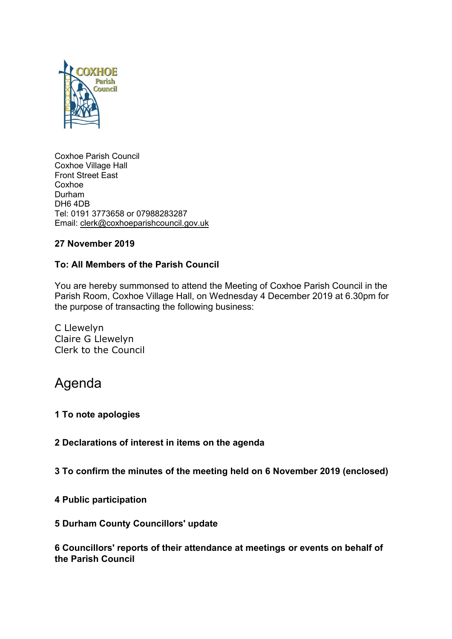

Coxhoe Parish Council Coxhoe Village Hall Front Street East Coxhoe Durham DH6 4DB Tel: 0191 3773658 or 07988283287 Email: [clerk@coxhoeparishcouncil.gov.uk](mailto:clerk@coxhoeparishcouncil.gov.uk)

# **27 November 2019**

# **To: All Members of the Parish Council**

You are hereby summonsed to attend the Meeting of Coxhoe Parish Council in the Parish Room, Coxhoe Village Hall, on Wednesday 4 December 2019 at 6.30pm for the purpose of transacting the following business:

C Llewelyn Claire G Llewelyn Clerk to the Council

# Agenda

#### **1 To note apologies**

**2 Declarations of interest in items on the agenda**

**3 To confirm the minutes of the meeting held on 6 November 2019 (enclosed)**

**4 Public participation**

#### **5 Durham County Councillors' update**

**6 Councillors' reports of their attendance at meetings or events on behalf of the Parish Council**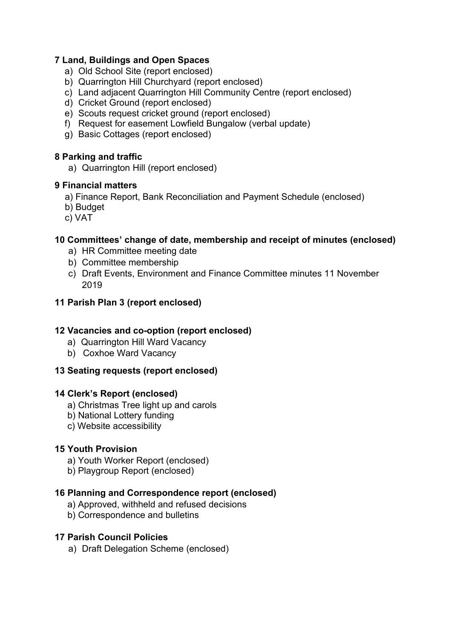# **7 Land, Buildings and Open Spaces**

- a) Old School Site (report enclosed)
- b) Quarrington Hill Churchyard (report enclosed)
- c) Land adjacent Quarrington Hill Community Centre (report enclosed)
- d) Cricket Ground (report enclosed)
- e) Scouts request cricket ground (report enclosed)
- f) Request for easement Lowfield Bungalow (verbal update)
- g) Basic Cottages (report enclosed)

## **8 Parking and traffic**

a) Quarrington Hill (report enclosed)

## **9 Financial matters**

- a) Finance Report, Bank Reconciliation and Payment Schedule (enclosed)
- b) Budget
- c) VAT

# **10 Committees' change of date, membership and receipt of minutes (enclosed)**

- a) HR Committee meeting date
- b) Committee membership
- c) Draft Events, Environment and Finance Committee minutes 11 November 2019

# **11 Parish Plan 3 (report enclosed)**

# **12 Vacancies and co-option (report enclosed)**

- a) Quarrington Hill Ward Vacancy
- b) Coxhoe Ward Vacancy

# **13 Seating requests (report enclosed)**

#### **14 Clerk's Report (enclosed)**

- a) Christmas Tree light up and carols
- b) National Lottery funding
- c) Website accessibility

# **15 Youth Provision**

- a) Youth Worker Report (enclosed)
- b) Playgroup Report (enclosed)

# **16 Planning and Correspondence report (enclosed)**

- a) Approved, withheld and refused decisions
- b) Correspondence and bulletins

#### **17 Parish Council Policies**

a) Draft Delegation Scheme (enclosed)